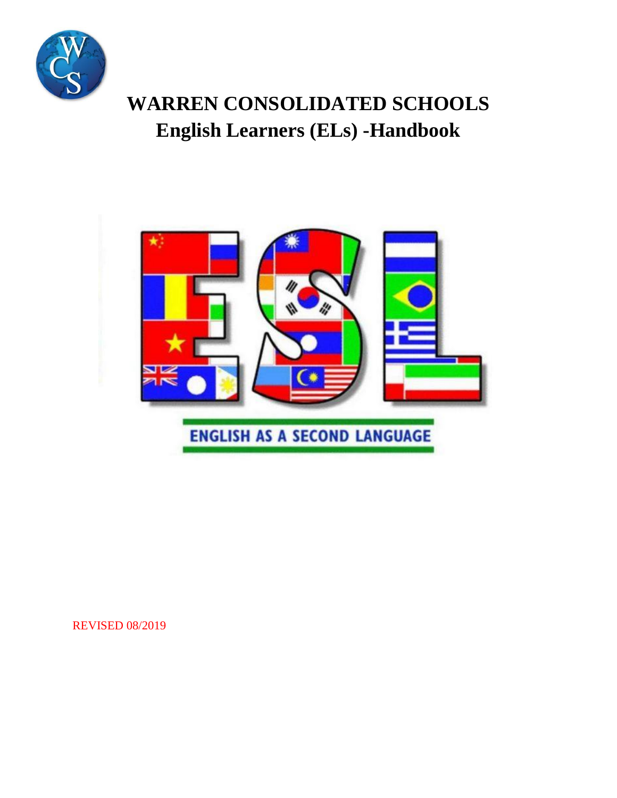

# **WARREN CONSOLIDATED SCHOOLS English Learners (ELs) -Handbook**



REVISED 08/2019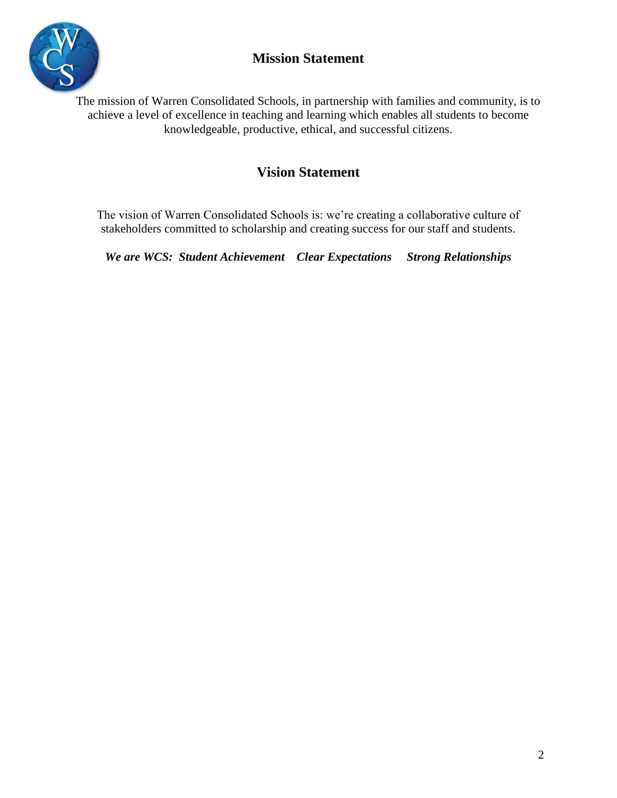### **Mission Statement**



The mission of Warren Consolidated Schools, in partnership with families and community, is to achieve a level of excellence in teaching and learning which enables all students to become knowledgeable, productive, ethical, and successful citizens.

### **Vision Statement**

The vision of Warren Consolidated Schools is: we're creating a collaborative culture of stakeholders committed to scholarship and creating success for our staff and students.

*We are WCS: Student Achievement Clear Expectations Strong Relationships*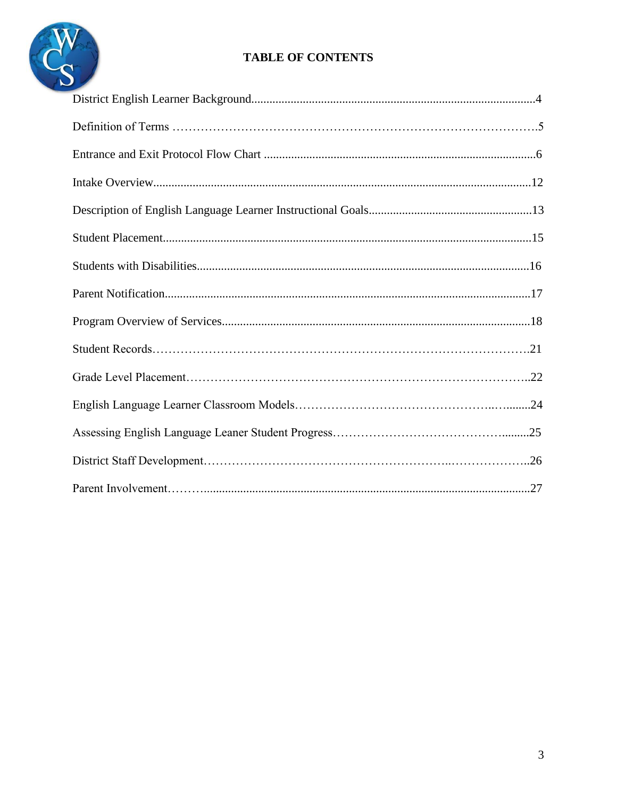

### **TABLE OF CONTENTS**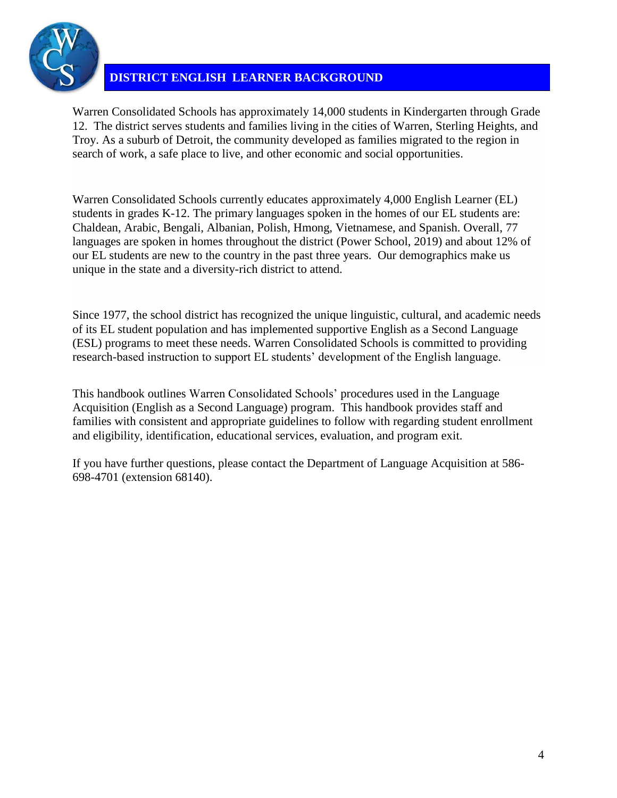

### **DISTRICT ENGLISH LEARNER BACKGROUND**

Warren Consolidated Schools has approximately 14,000 students in Kindergarten through Grade 12. The district serves students and families living in the cities of Warren, Sterling Heights, and Troy. As a suburb of Detroit, the community developed as families migrated to the region in search of work, a safe place to live, and other economic and social opportunities.

Warren Consolidated Schools currently educates approximately 4,000 English Learner (EL) students in grades K-12. The primary languages spoken in the homes of our EL students are: Chaldean, Arabic, Bengali, Albanian, Polish, Hmong, Vietnamese, and Spanish. Overall, 77 languages are spoken in homes throughout the district (Power School, 2019) and about 12% of our EL students are new to the country in the past three years. Our demographics make us unique in the state and a diversity-rich district to attend.

Since 1977, the school district has recognized the unique linguistic, cultural, and academic needs of its EL student population and has implemented supportive English as a Second Language (ESL) programs to meet these needs. Warren Consolidated Schools is committed to providing research-based instruction to support EL students' development of the English language.

This handbook outlines Warren Consolidated Schools' procedures used in the Language Acquisition (English as a Second Language) program. This handbook provides staff and families with consistent and appropriate guidelines to follow with regarding student enrollment and eligibility, identification, educational services, evaluation, and program exit.

If you have further questions, please contact the Department of Language Acquisition at 586- 698-4701 (extension 68140).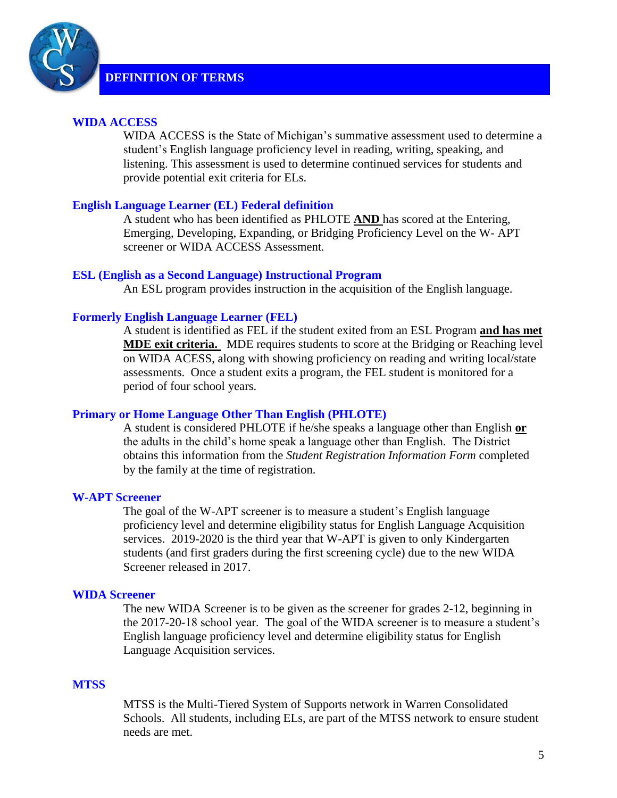

### **WIDA ACCESS**

WIDA ACCESS is the State of Michigan's summative assessment used to determine a student's English language proficiency level in reading, writing, speaking, and listening. This assessment is used to determine continued services for students and provide potential exit criteria for ELs.

### **English Language Learner (EL) Federal definition**

A student who has been identified as PHLOTE **AND** has scored at the Entering, Emerging, Developing, Expanding, or Bridging Proficiency Level on the W- APT screener or WIDA ACCESS Assessment*.*

#### **ESL (English as a Second Language) Instructional Program**

An ESL program provides instruction in the acquisition of the English language.

#### **Formerly English Language Learner (FEL)**

A student is identified as FEL if the student exited from an ESL Program **and has met MDE exit criteria.** MDE requires students to score at the Bridging or Reaching level on WIDA ACESS, along with showing proficiency on reading and writing local/state assessments. Once a student exits a program, the FEL student is monitored for a period of four school years.

#### **Primary or Home Language Other Than English (PHLOTE)**

A student is considered PHLOTE if he/she speaks a language other than English **or** the adults in the child's home speak a language other than English. The District obtains this information from the *Student Registration Information Form* completed by the family at the time of registration*.*

#### **W-APT Screener**

The goal of the W-APT screener is to measure a student's English language proficiency level and determine eligibility status for English Language Acquisition services. 2019-2020 is the third year that W-APT is given to only Kindergarten students (and first graders during the first screening cycle) due to the new WIDA Screener released in 2017.

#### **WIDA Screener**

The new WIDA Screener is to be given as the screener for grades 2-12, beginning in the 2017-20-18 school year. The goal of the WIDA screener is to measure a student's English language proficiency level and determine eligibility status for English Language Acquisition services.

#### **MTSS**

MTSS is the Multi-Tiered System of Supports network in Warren Consolidated Schools. All students, including ELs, are part of the MTSS network to ensure student needs are met.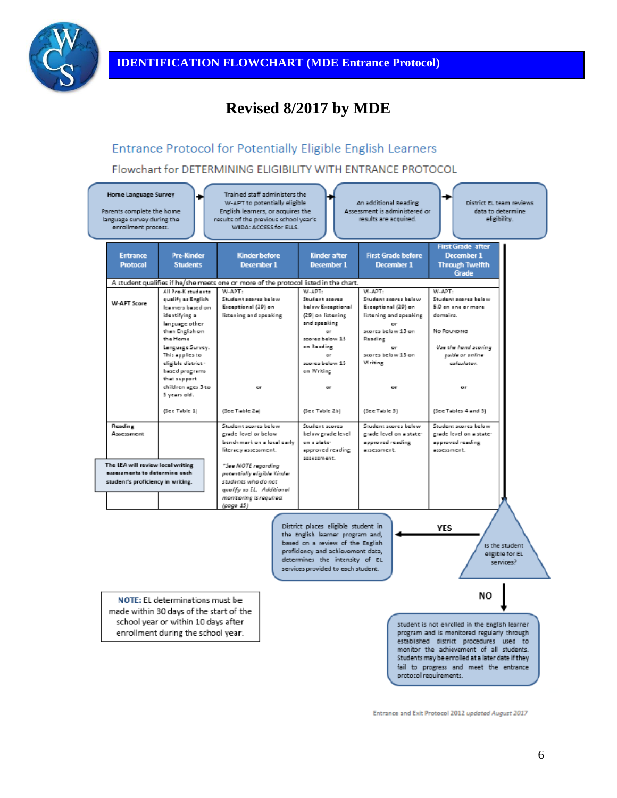

# **Revised 8/2017 by MDE**

### Entrance Protocol for Potentially Eligible English Learners

Flowchart for DETERMINING ELIGIBILITY WITH ENTRANCE PROTOCOL



Entrance and Exit Protocol 2012 updated August 2017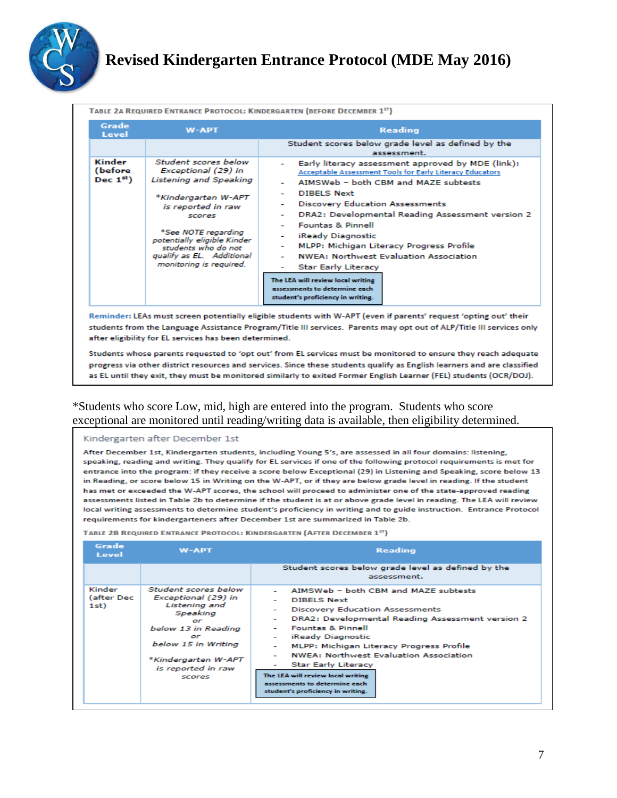

## **Revised Kindergarten Entrance Protocol (MDE May 2016)**

| TABLE 2A REQUIRED ENTRANCE PROTOCOL: KINDERGARTEN (BEFORE DECEMBER 15T)                                                                                                                                                                                                                            |                                                                                                                                                                                                                                                                          |                                                                                                                                                                                                                                                                                                                                                                                                                                                                                                                                                                                                         |  |  |
|----------------------------------------------------------------------------------------------------------------------------------------------------------------------------------------------------------------------------------------------------------------------------------------------------|--------------------------------------------------------------------------------------------------------------------------------------------------------------------------------------------------------------------------------------------------------------------------|---------------------------------------------------------------------------------------------------------------------------------------------------------------------------------------------------------------------------------------------------------------------------------------------------------------------------------------------------------------------------------------------------------------------------------------------------------------------------------------------------------------------------------------------------------------------------------------------------------|--|--|
| Grade<br>Level                                                                                                                                                                                                                                                                                     | <b>W-APT</b>                                                                                                                                                                                                                                                             | <b>Reading</b>                                                                                                                                                                                                                                                                                                                                                                                                                                                                                                                                                                                          |  |  |
|                                                                                                                                                                                                                                                                                                    |                                                                                                                                                                                                                                                                          | Student scores below grade level as defined by the<br>assessment.                                                                                                                                                                                                                                                                                                                                                                                                                                                                                                                                       |  |  |
| Kinder<br>(before<br>Dec $1^{st}$ )                                                                                                                                                                                                                                                                | Student scores helow<br>Exceptional (29) in<br><b>Listening and Speaking</b><br>*Kindergarten W-APT<br>is reported in raw<br>scores<br>*See NOTE regarding<br>potentially eligible Kinder<br>students who do not<br>qualify as EL. Additional<br>monitoring is required. | Early literacy assessment approved by MDE (link):<br>Acceptable Assessment Tools for Early Literacy Educators<br>AIMSWeb - both CBM and MAZE subtests<br>۰<br><b>DIBELS Next</b><br>۰<br><b>Discovery Education Assessments</b><br>÷<br>DRA2: Developmental Reading Assessment version 2<br>÷<br><b>Fountas &amp; Pinnell</b><br>iReady Diagnostic<br>٠<br>MLPP: Michigan Literacy Progress Profile<br>۰<br><b>NWEA: Northwest Evaluation Association</b><br>٠<br><b>Star Early Literacy</b><br>The LEA will review local writing<br>assessments to determine each<br>student's proficiency in writing. |  |  |
| Reminder: LEAs must screen potentially eligible students with W-APT (even if parents' request 'opting out' their<br>students from the Language Assistance Program/Title III services. Parents may opt out of ALP/Title III services only<br>after eligibility for EL services has been determined. |                                                                                                                                                                                                                                                                          |                                                                                                                                                                                                                                                                                                                                                                                                                                                                                                                                                                                                         |  |  |
|                                                                                                                                                                                                                                                                                                    |                                                                                                                                                                                                                                                                          | Students whose parents requested to 'opt out' from EL services must be monitored to ensure they reach adequate                                                                                                                                                                                                                                                                                                                                                                                                                                                                                          |  |  |

progress via other district resources and services. Since these students qualify as English learners and are classified as EL until they exit, they must be monitored similarly to exited Former English Learner (FEL) students (OCR/DOJ).

### \*Students who score Low, mid, high are entered into the program. Students who score exceptional are monitored until reading/writing data is available, then eligibility determined.

Kindergarten after December 1st

After December 1st, Kindergarten students, including Young 5's, are assessed in all four domains: listening, speaking, reading and writing. They qualify for EL services if one of the following protocol requirements is met for entrance into the program; if they receive a score below Exceptional (29) in Listening and Speaking, score below 13 in Reading, or score below 15 in Writing on the W-APT, or if they are below grade level in reading. If the student has met or exceeded the W-APT scores, the school will proceed to administer one of the state-approved reading assessments listed in Table 2b to determine if the student is at or above grade level in reading. The LEA will review local writing assessments to determine student's proficiency in writing and to guide instruction. Entrance Protocol requirements for kindergarteners after December 1st are summarized in Table 2b.

| Grade<br>Level               | <b>W-APT</b>                                                                                                                                                                                     | <b>Reading</b>                                                                                                                                                                                                                                                                                                                                                                                                                                                                                                                         |  |
|------------------------------|--------------------------------------------------------------------------------------------------------------------------------------------------------------------------------------------------|----------------------------------------------------------------------------------------------------------------------------------------------------------------------------------------------------------------------------------------------------------------------------------------------------------------------------------------------------------------------------------------------------------------------------------------------------------------------------------------------------------------------------------------|--|
|                              |                                                                                                                                                                                                  | Student scores below grade level as defined by the<br>assessment.                                                                                                                                                                                                                                                                                                                                                                                                                                                                      |  |
| Kinder<br>(after Dec<br>1st) | Student scores below<br>Exceptional (29) in<br><b>Listening</b> and<br>Speaking<br>or<br>below 13 in Reading<br>or<br>below 15 in Writing<br>*Kindergarten W-APT<br>is reported in raw<br>scores | AIMSWeb - both CBM and MAZE subtests<br><b>DIBELS Next</b><br><b>Discovery Education Assessments</b><br>۰<br>DRA2: Developmental Reading Assessment version 2<br>۰<br><b>Fountas &amp; Pinnell</b><br>۰<br>iReady Diagnostic<br>$\overline{\phantom{a}}$<br><b>MLPP: Michigan Literacy Progress Profile</b><br>۰<br><b>NWEA: Northwest Evaluation Association</b><br><b>Star Early Literacy</b><br>$\overline{\phantom{a}}$<br>The LEA will review local writing<br>assessments to determine each<br>student's proficiency in writing. |  |

TABLE 2B REQUIRED ENTRANCE PROTOCOL: KINDERGARTEN (AFTER DECEMBER 1ST)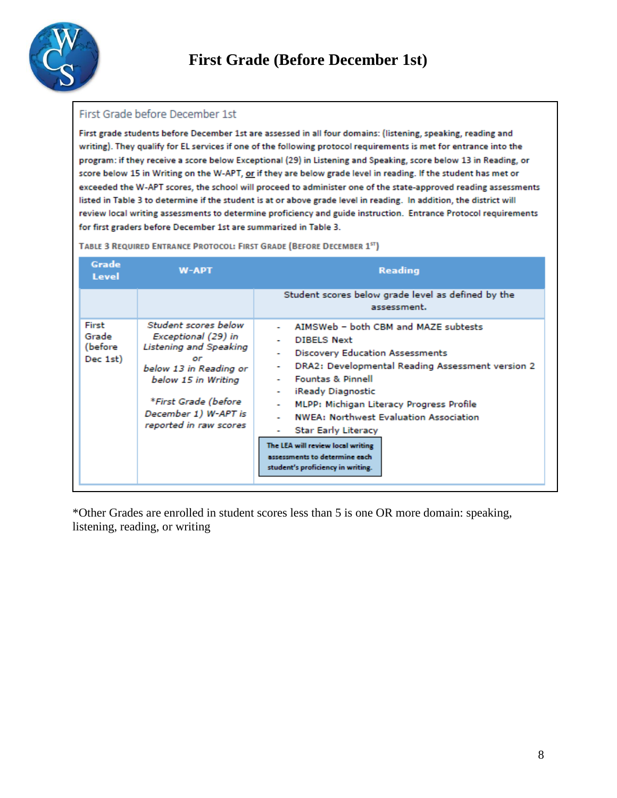

#### First Grade before December 1st

First grade students before December 1st are assessed in all four domains: (listening, speaking, reading and writing). They qualify for EL services if one of the following protocol requirements is met for entrance into the program: if they receive a score below Exceptional (29) in Listening and Speaking, score below 13 in Reading, or score below 15 in Writing on the W-APT, or if they are below grade level in reading. If the student has met or exceeded the W-APT scores, the school will proceed to administer one of the state-approved reading assessments listed in Table 3 to determine if the student is at or above grade level in reading. In addition, the district will review local writing assessments to determine proficiency and guide instruction. Entrance Protocol requirements for first graders before December 1st are summarized in Table 3.

| Grade<br>Level                        | <b>W-APT</b>                                                                                                                                                                                                  | <b>Reading</b>                                                                                                                                                                                                                                                                                                                                                                                                                                                     |
|---------------------------------------|---------------------------------------------------------------------------------------------------------------------------------------------------------------------------------------------------------------|--------------------------------------------------------------------------------------------------------------------------------------------------------------------------------------------------------------------------------------------------------------------------------------------------------------------------------------------------------------------------------------------------------------------------------------------------------------------|
|                                       |                                                                                                                                                                                                               | Student scores below grade level as defined by the<br>assessment.                                                                                                                                                                                                                                                                                                                                                                                                  |
| First<br>Grade<br>(before<br>Dec 1st) | Student scores below<br>Exceptional (29) in<br><b>Listening and Speaking</b><br>or<br>below 13 in Reading or<br>below 15 in Writing<br>*First Grade (before<br>December 1) W-APT is<br>reported in raw scores | AIMSWeb - both CBM and MAZE subtests<br><b>DIBELS Next</b><br><b>Discovery Education Assessments</b><br>DRA2: Developmental Reading Assessment version 2<br>۰<br><b>Fountas &amp; Pinnell</b><br>iReady Diagnostic<br>۰<br>MLPP: Michigan Literacy Progress Profile<br><b>NWEA: Northwest Evaluation Association</b><br><b>Star Early Literacy</b><br>٠<br>The LEA will review local writing<br>assessments to determine each<br>student's proficiency in writing. |

TABLE 3 REQUIRED ENTRANCE PROTOCOL: FIRST GRADE (BEFORE DECEMBER 15T)

\*Other Grades are enrolled in student scores less than 5 is one OR more domain: speaking, listening, reading, or writing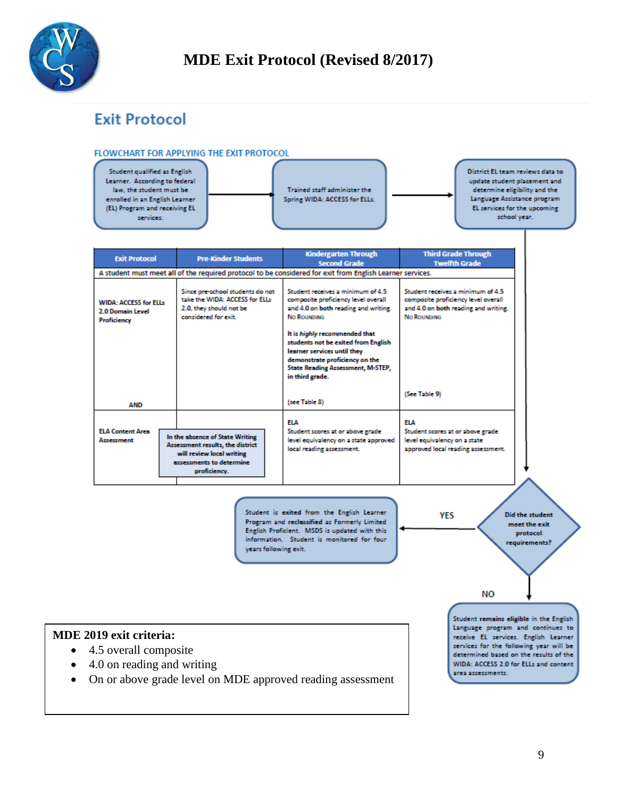

# **Exit Protocol**

#### FLOWCHART FOR APPLYING THE EXIT PROTOCOL



| <b>Pre-Kinder Students</b>                                                                                            | <b>Kindergarten Through</b><br><b>Second Grade</b>                                                                                                                      | <b>Third Grade Through</b><br><b>Twelfth Grade</b>                                                                                                                                   |
|-----------------------------------------------------------------------------------------------------------------------|-------------------------------------------------------------------------------------------------------------------------------------------------------------------------|--------------------------------------------------------------------------------------------------------------------------------------------------------------------------------------|
|                                                                                                                       |                                                                                                                                                                         |                                                                                                                                                                                      |
| Since pre-school students do not<br>take the WIDA: ACCESS for ELLs<br>2.0, they should not be<br>considered for exit. | Student receives a minimum of 4.5<br>composite proficiency level overall<br>and 4.0 on both reading and writing.<br><b>No ROUNDING</b><br>It is highly recommended that | Student receives a minimum of 4.5<br>composite proficiency level overall<br>and 4.0 on both reading and writing.<br>No Rounding                                                      |
|                                                                                                                       | learner services until they<br>demonstrate proficiency on the<br><b>State Reading Assessment, M-STEP,</b><br>in third grade.                                            |                                                                                                                                                                                      |
|                                                                                                                       | (see Table 8)                                                                                                                                                           | (See Table 9)                                                                                                                                                                        |
|                                                                                                                       | <b>FLA</b>                                                                                                                                                              | <b>FLA</b>                                                                                                                                                                           |
| will review local writing<br>proficiency.                                                                             | level equivalency on a state approved<br>local reading assessment.                                                                                                      | Student scores at or above grade<br>level equivalency on a state<br>approved local reading assessment.                                                                               |
|                                                                                                                       | In the absence of State Writing<br>Assessment results, the district<br>assessments to determine.                                                                        | A student must meet all of the required protocol to be considered for exit from English Learner services.<br>students not be exited from English<br>Student scores at or above grade |

Student is exited from the English Learner Program and reclassified as Formerly Limited English Proficient. MSDS is updated with this information. Student is monitored for four years following exit.

**YES** 

**Did the student** meet the exit protocol requirements?

**NO** 

### **MDE 2019 exit criteria:**

- 4.5 overall composite
- 4.0 on reading and writing
- On or above grade level on MDE approved reading assessment

Student remains eligible in the English Language program and continues to receive EL services. English Learner services for the following year will be determined based on the results of the WIDA: ACCESS 2.0 for ELLs and content area assessments.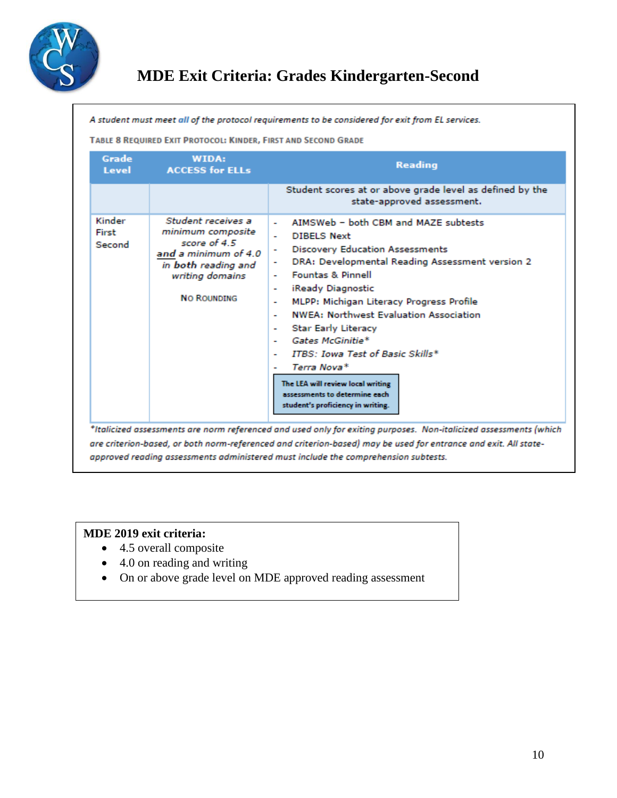

# **MDE Exit Criteria: Grades Kindergarten-Second**

A student must meet all of the protocol requirements to be considered for exit from EL services.

TABLE 8 REQUIRED EXIT PROTOCOL: KINDER, FIRST AND SECOND GRADE

| Grade<br>Level            | WIDA:<br><b>ACCESS for ELLs</b>                                                                                                                 | <b>Reading</b>                                                                                                                                                                                                                                                                                                                                                                                                                                                                                                                                                                                                                        |
|---------------------------|-------------------------------------------------------------------------------------------------------------------------------------------------|---------------------------------------------------------------------------------------------------------------------------------------------------------------------------------------------------------------------------------------------------------------------------------------------------------------------------------------------------------------------------------------------------------------------------------------------------------------------------------------------------------------------------------------------------------------------------------------------------------------------------------------|
|                           |                                                                                                                                                 | Student scores at or above grade level as defined by the<br>state-approved assessment.                                                                                                                                                                                                                                                                                                                                                                                                                                                                                                                                                |
| Kinder<br>First<br>Second | Student receives a<br>minimum composite<br>score of 4.5<br>and a minimum of 4.0<br>in both reading and<br>writing domains<br><b>NO ROUNDING</b> | AIMSWeb - both CRM and MAZE subtests<br>٠<br><b>DIBELS Next</b><br>٠<br><b>Discovery Education Assessments</b><br>۰<br>DRA: Developmental Reading Assessment version 2<br><b>Fountas &amp; Pinnell</b><br>$\overline{\phantom{0}}$<br>iReady Diagnostic<br>۰<br>MLPP: Michigan Literacy Progress Profile<br>٠<br><b>NWEA: Northwest Evaluation Association</b><br>۰<br><b>Star Early Literacy</b><br>۰<br>Gates McGinitie*<br>$\overline{\phantom{0}}$<br><b>ITBS: Iowa Test of Basic Skills*</b><br>۰<br>Terra Nova*<br>٠<br>The LEA will review local writing<br>assessments to determine each<br>student's proficiency in writing. |

### **MDE 2019 exit criteria:**

- 4.5 overall composite
- 4.0 on reading and writing
- On or above grade level on MDE approved reading assessment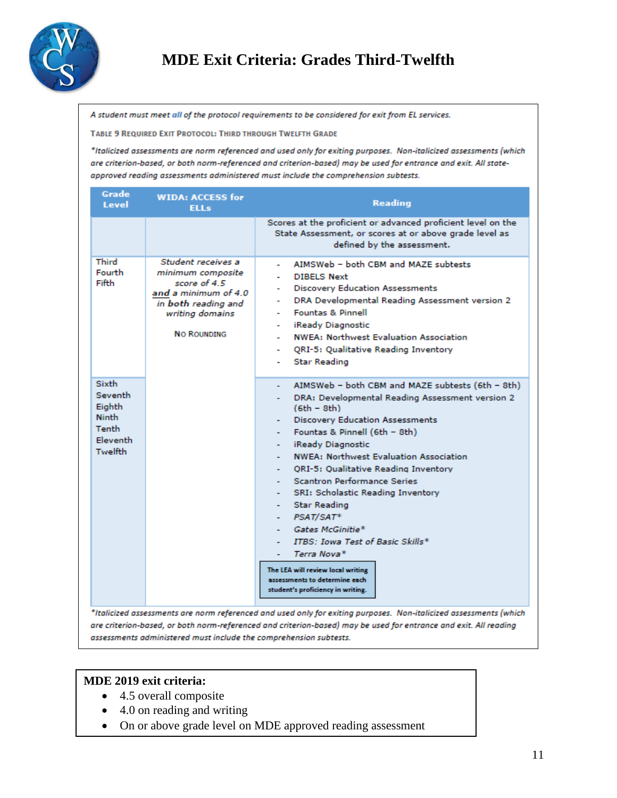

# **MDE Exit Criteria: Grades Third-Twelfth**

A student must meet all of the protocol requirements to be considered for exit from EL services.

TABLE 9 REQUIRED EXIT PROTOCOL: THIRD THROUGH TWELFTH GRADE

\*Italicized assessments are norm referenced and used only for exiting purposes. Non-italicized assessments (which are criterion-based, or both norm-referenced and criterion-based) may be used for entrance and exit. All stateapproved reading assessments administered must include the comprehension subtests.

| Grade<br><b>WIDA: ACCESS for</b><br>Level<br><b>ELLs</b>                                                                                                                    |             | <b>Reading</b>                                                                                                                                                                                                                                                                                                                                                                                                                                                                                                                                                                                                            |
|-----------------------------------------------------------------------------------------------------------------------------------------------------------------------------|-------------|---------------------------------------------------------------------------------------------------------------------------------------------------------------------------------------------------------------------------------------------------------------------------------------------------------------------------------------------------------------------------------------------------------------------------------------------------------------------------------------------------------------------------------------------------------------------------------------------------------------------------|
|                                                                                                                                                                             |             | Scores at the proficient or advanced proficient level on the<br>State Assessment, or scores at or above grade level as<br>defined by the assessment.                                                                                                                                                                                                                                                                                                                                                                                                                                                                      |
| Third<br>Student receives a<br>Fourth<br>minimum composite<br>Fifth<br>score of 4.5<br>and a minimum of 4.0<br>in both reading and<br>writing domains<br><b>NO ROUNDING</b> | ۰<br>٠<br>٠ | AIMSWeb - both CBM and MAZE subtests<br><b>DIBELS Next</b><br><b>Discovery Education Assessments</b><br>DRA Developmental Reading Assessment version 2<br><b>Fountas &amp; Pinnell</b><br>iReady Diagnostic<br><b>NWEA: Northwest Evaluation Association</b><br>QRI-5: Qualitative Reading Inventory<br><b>Star Reading</b>                                                                                                                                                                                                                                                                                               |
| <b>Sixth</b><br>Seventh<br>Eighth<br><b>Ninth</b><br><b>Tenth</b><br><b>Fleventh</b><br>Twelfth                                                                             |             | AIMSWeb - both CBM and MAZE subtests (6th - 8th)<br>DRA: Developmental Reading Assessment version 2<br>$(6th - 8th)$<br><b>Discovery Education Assessments</b><br>Fountas & Pinnell (6th - 8th)<br>iReady Diagnostic<br><b>NWEA: Northwest Evaluation Association</b><br>ORI-5: Qualitative Reading Inventory<br><b>Scantron Performance Series</b><br>SRI: Scholastic Reading Inventory<br><b>Star Reading</b><br>- $PSAT/SAT*$<br>Gates McGinitie*<br><b>ITBS: Iowa Test of Basic Skills*</b><br>Terra Nova*<br>The LEA will review local writing<br>assessments to determine each<br>student's proficiency in writing. |
|                                                                                                                                                                             |             | *Italicized assessments are norm referenced and used only for exiting purposes. Non-italicized assessments (which                                                                                                                                                                                                                                                                                                                                                                                                                                                                                                         |

are criterion-based, or both norm-referenced and criterion-based) may be used for entrance and exit. All reading assessments administered must include the comprehension subtests.

#### **MDE 2019 exit criteria:**

- 4.5 overall composite
- 4.0 on reading and writing
- On or above grade level on MDE approved reading assessment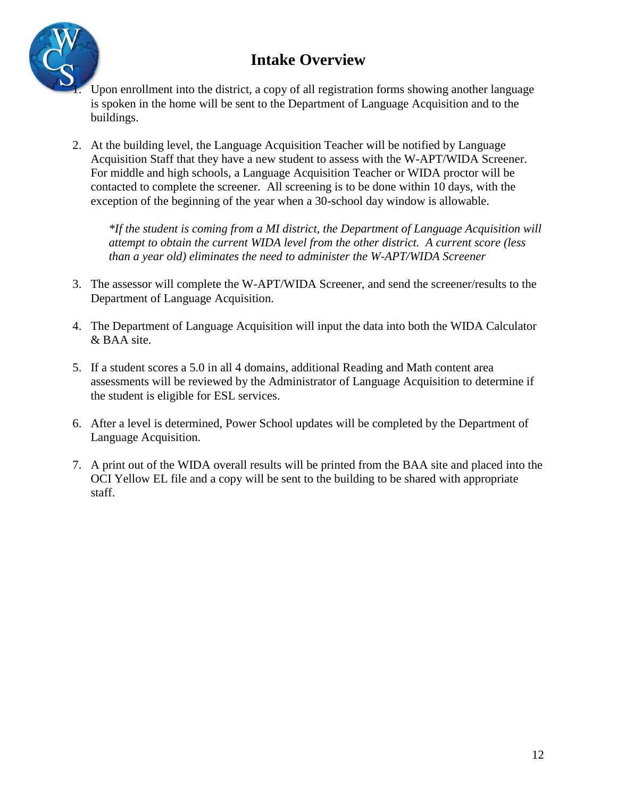# **Intake Overview**



- 1. Upon enrollment into the district, a copy of all registration forms showing another language is spoken in the home will be sent to the Department of Language Acquisition and to the buildings.
- 2. At the building level, the Language Acquisition Teacher will be notified by Language Acquisition Staff that they have a new student to assess with the W-APT/WIDA Screener. For middle and high schools, a Language Acquisition Teacher or WIDA proctor will be contacted to complete the screener. All screening is to be done within 10 days, with the exception of the beginning of the year when a 30-school day window is allowable.

*\*If the student is coming from a MI district, the Department of Language Acquisition will attempt to obtain the current WIDA level from the other district. A current score (less than a year old) eliminates the need to administer the W-APT/WIDA Screener*

- 3. The assessor will complete the W-APT/WIDA Screener, and send the screener/results to the Department of Language Acquisition.
- 4. The Department of Language Acquisition will input the data into both the WIDA Calculator & BAA site.
- 5. If a student scores a 5.0 in all 4 domains, additional Reading and Math content area assessments will be reviewed by the Administrator of Language Acquisition to determine if the student is eligible for ESL services.
- 6. After a level is determined, Power School updates will be completed by the Department of Language Acquisition.
- 7. A print out of the WIDA overall results will be printed from the BAA site and placed into the OCI Yellow EL file and a copy will be sent to the building to be shared with appropriate staff.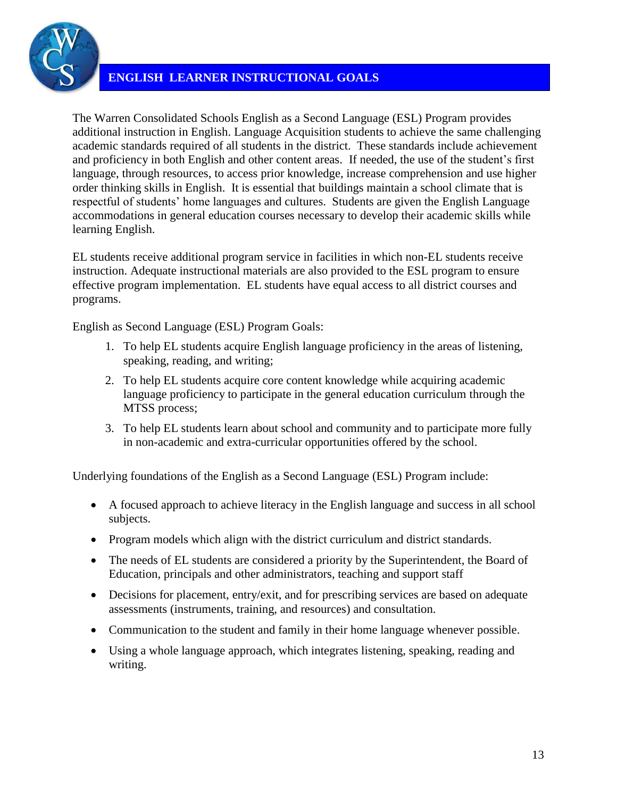

### **ENGLISH LEARNER INSTRUCTIONAL GOALS**

The Warren Consolidated Schools English as a Second Language (ESL) Program provides additional instruction in English. Language Acquisition students to achieve the same challenging academic standards required of all students in the district. These standards include achievement and proficiency in both English and other content areas. If needed, the use of the student's first language, through resources, to access prior knowledge, increase comprehension and use higher order thinking skills in English. It is essential that buildings maintain a school climate that is respectful of students' home languages and cultures. Students are given the English Language accommodations in general education courses necessary to develop their academic skills while learning English.

EL students receive additional program service in facilities in which non-EL students receive instruction. Adequate instructional materials are also provided to the ESL program to ensure effective program implementation. EL students have equal access to all district courses and programs.

English as Second Language (ESL) Program Goals:

- 1. To help EL students acquire English language proficiency in the areas of listening, speaking, reading, and writing;
- 2. To help EL students acquire core content knowledge while acquiring academic language proficiency to participate in the general education curriculum through the MTSS process;
- 3. To help EL students learn about school and community and to participate more fully in non-academic and extra-curricular opportunities offered by the school.

Underlying foundations of the English as a Second Language (ESL) Program include:

- A focused approach to achieve literacy in the English language and success in all school subjects.
- Program models which align with the district curriculum and district standards.
- The needs of EL students are considered a priority by the Superintendent, the Board of Education, principals and other administrators, teaching and support staff
- Decisions for placement, entry/exit, and for prescribing services are based on adequate assessments (instruments, training, and resources) and consultation.
- Communication to the student and family in their home language whenever possible.
- Using a whole language approach, which integrates listening, speaking, reading and writing.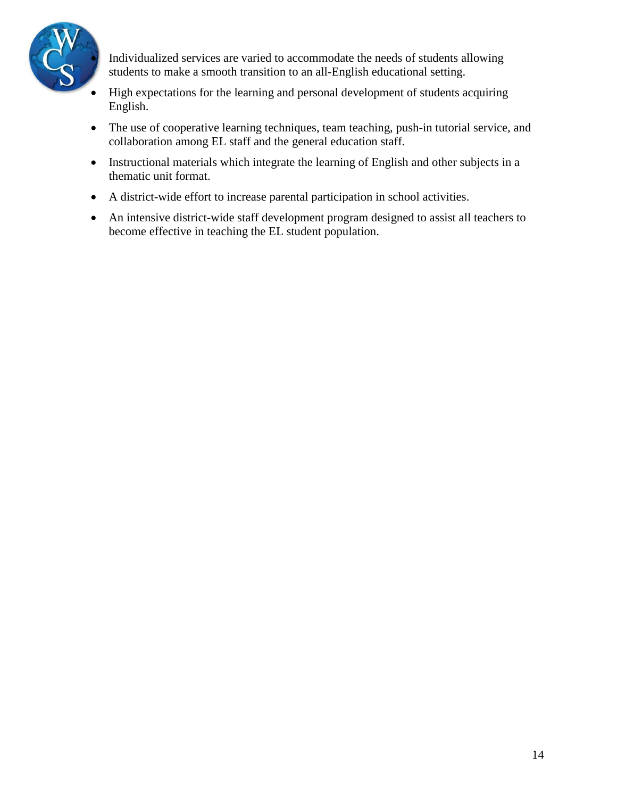

 Individualized services are varied to accommodate the needs of students allowing students to make a smooth transition to an all-English educational setting.

- High expectations for the learning and personal development of students acquiring English.
- The use of cooperative learning techniques, team teaching, push-in tutorial service, and collaboration among EL staff and the general education staff.
- Instructional materials which integrate the learning of English and other subjects in a thematic unit format.
- A district-wide effort to increase parental participation in school activities.
- An intensive district-wide staff development program designed to assist all teachers to become effective in teaching the EL student population.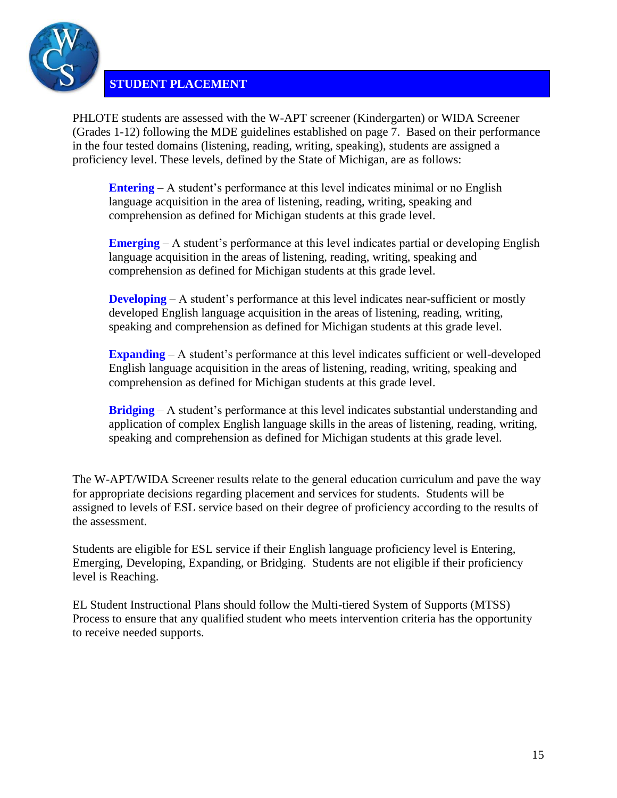

### **STUDENT PLACEMENT**

PHLOTE students are assessed with the W-APT screener (Kindergarten) or WIDA Screener (Grades 1-12) following the MDE guidelines established on page 7. Based on their performance in the four tested domains (listening, reading, writing, speaking), students are assigned a proficiency level. These levels, defined by the State of Michigan, are as follows:

**Entering** – A student's performance at this level indicates minimal or no English language acquisition in the area of listening, reading, writing, speaking and comprehension as defined for Michigan students at this grade level.

**Emerging** – A student's performance at this level indicates partial or developing English language acquisition in the areas of listening, reading, writing, speaking and comprehension as defined for Michigan students at this grade level.

**Developing** – A student's performance at this level indicates near-sufficient or mostly developed English language acquisition in the areas of listening, reading, writing, speaking and comprehension as defined for Michigan students at this grade level.

**Expanding** – A student's performance at this level indicates sufficient or well-developed English language acquisition in the areas of listening, reading, writing, speaking and comprehension as defined for Michigan students at this grade level.

**Bridging** – A student's performance at this level indicates substantial understanding and application of complex English language skills in the areas of listening, reading, writing, speaking and comprehension as defined for Michigan students at this grade level.

The W-APT/WIDA Screener results relate to the general education curriculum and pave the way for appropriate decisions regarding placement and services for students. Students will be assigned to levels of ESL service based on their degree of proficiency according to the results of the assessment.

Students are eligible for ESL service if their English language proficiency level is Entering, Emerging, Developing, Expanding, or Bridging. Students are not eligible if their proficiency level is Reaching.

EL Student Instructional Plans should follow the Multi-tiered System of Supports (MTSS) Process to ensure that any qualified student who meets intervention criteria has the opportunity to receive needed supports.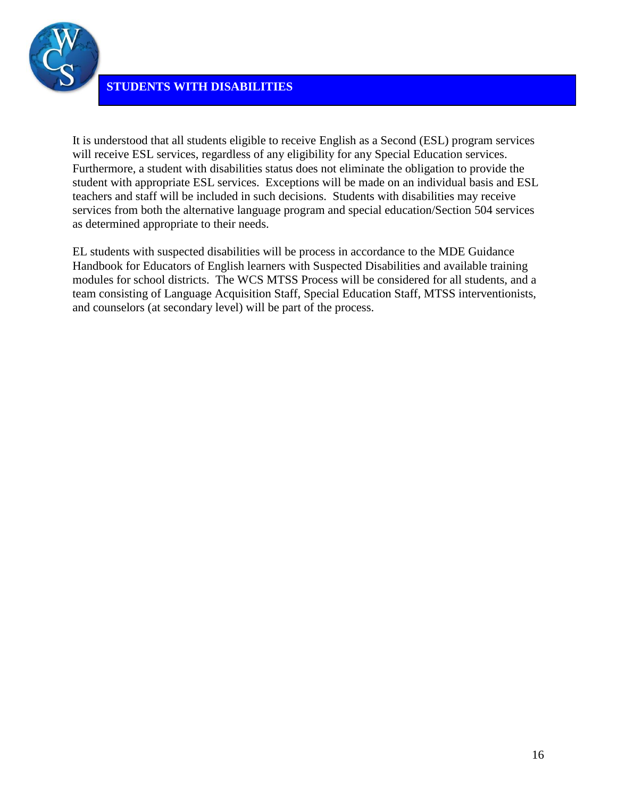

It is understood that all students eligible to receive English as a Second (ESL) program services will receive ESL services, regardless of any eligibility for any Special Education services. Furthermore, a student with disabilities status does not eliminate the obligation to provide the student with appropriate ESL services. Exceptions will be made on an individual basis and ESL teachers and staff will be included in such decisions. Students with disabilities may receive services from both the alternative language program and special education/Section 504 services as determined appropriate to their needs.

EL students with suspected disabilities will be process in accordance to the MDE Guidance Handbook for Educators of English learners with Suspected Disabilities and available training modules for school districts. The WCS MTSS Process will be considered for all students, and a team consisting of Language Acquisition Staff, Special Education Staff, MTSS interventionists, and counselors (at secondary level) will be part of the process.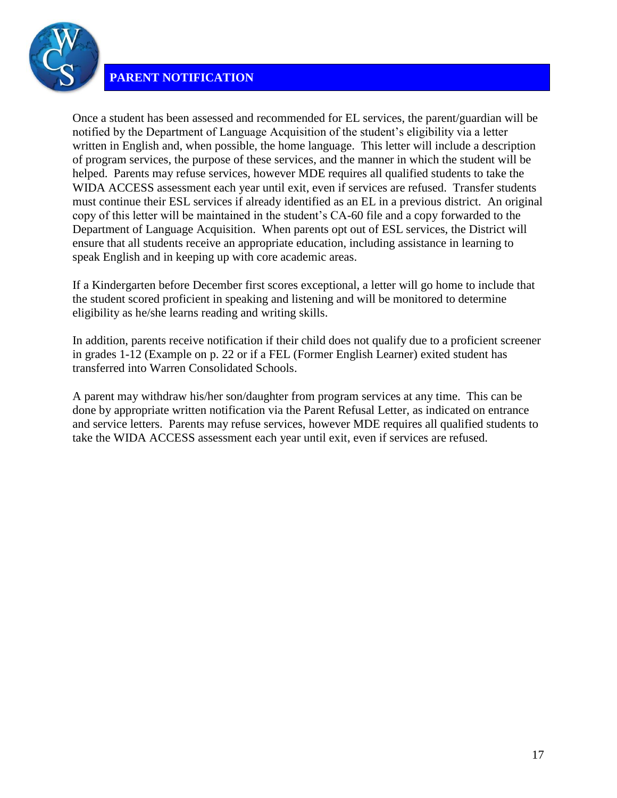

### **PARENT NOTIFICATION**

Once a student has been assessed and recommended for EL services, the parent/guardian will be notified by the Department of Language Acquisition of the student's eligibility via a letter written in English and, when possible, the home language. This letter will include a description of program services, the purpose of these services, and the manner in which the student will be helped. Parents may refuse services, however MDE requires all qualified students to take the WIDA ACCESS assessment each year until exit, even if services are refused. Transfer students must continue their ESL services if already identified as an EL in a previous district. An original copy of this letter will be maintained in the student's CA-60 file and a copy forwarded to the Department of Language Acquisition. When parents opt out of ESL services, the District will ensure that all students receive an appropriate education, including assistance in learning to speak English and in keeping up with core academic areas.

If a Kindergarten before December first scores exceptional, a letter will go home to include that the student scored proficient in speaking and listening and will be monitored to determine eligibility as he/she learns reading and writing skills.

In addition, parents receive notification if their child does not qualify due to a proficient screener in grades 1-12 (Example on p. 22 or if a FEL (Former English Learner) exited student has transferred into Warren Consolidated Schools.

A parent may withdraw his/her son/daughter from program services at any time. This can be done by appropriate written notification via the Parent Refusal Letter, as indicated on entrance and service letters. Parents may refuse services, however MDE requires all qualified students to take the WIDA ACCESS assessment each year until exit, even if services are refused.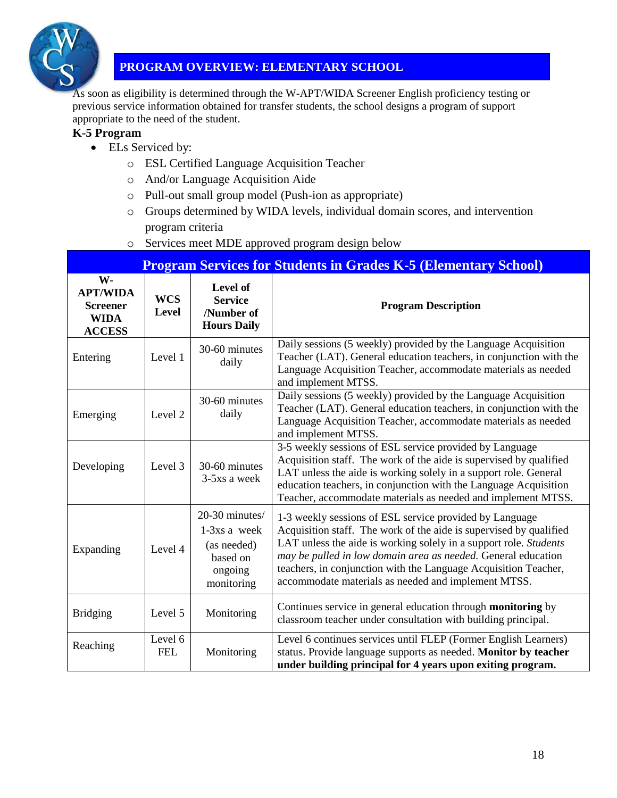

### **PROGRAM OVERVIEW: ELEMENTARY SCHOOL**

As soon as eligibility is determined through the W-APT/WIDA Screener English proficiency testing or previous service information obtained for transfer students, the school designs a program of support appropriate to the need of the student.

### **K-5 Program**

- ELs Serviced by:
	- o ESL Certified Language Acquisition Teacher
	- o And/or Language Acquisition Aide
	- o Pull-out small group model (Push-ion as appropriate)
	- o Groups determined by WIDA levels, individual domain scores, and intervention program criteria
	- o Services meet MDE approved program design below

| <b>Program Services for Students in Grades K-5 (Elementary School)</b>   |                       |                                                                                      |                                                                                                                                                                                                                                                                                                                                                                                               |  |  |
|--------------------------------------------------------------------------|-----------------------|--------------------------------------------------------------------------------------|-----------------------------------------------------------------------------------------------------------------------------------------------------------------------------------------------------------------------------------------------------------------------------------------------------------------------------------------------------------------------------------------------|--|--|
| W-<br><b>APT/WIDA</b><br><b>Screener</b><br><b>WIDA</b><br><b>ACCESS</b> | <b>WCS</b><br>Level   | Level of<br><b>Service</b><br>/Number of<br><b>Hours Daily</b>                       | <b>Program Description</b>                                                                                                                                                                                                                                                                                                                                                                    |  |  |
| Entering                                                                 | Level 1               | 30-60 minutes<br>daily                                                               | Daily sessions (5 weekly) provided by the Language Acquisition<br>Teacher (LAT). General education teachers, in conjunction with the<br>Language Acquisition Teacher, accommodate materials as needed<br>and implement MTSS.                                                                                                                                                                  |  |  |
| Emerging                                                                 | Level 2               | 30-60 minutes<br>daily                                                               | Daily sessions (5 weekly) provided by the Language Acquisition<br>Teacher (LAT). General education teachers, in conjunction with the<br>Language Acquisition Teacher, accommodate materials as needed<br>and implement MTSS.                                                                                                                                                                  |  |  |
| Developing                                                               | Level 3               | 30-60 minutes<br>3-5xs a week                                                        | 3-5 weekly sessions of ESL service provided by Language<br>Acquisition staff. The work of the aide is supervised by qualified<br>LAT unless the aide is working solely in a support role. General<br>education teachers, in conjunction with the Language Acquisition<br>Teacher, accommodate materials as needed and implement MTSS.                                                         |  |  |
| Expanding                                                                | Level 4               | 20-30 minutes/<br>$1-3xs$ a week<br>(as needed)<br>based on<br>ongoing<br>monitoring | 1-3 weekly sessions of ESL service provided by Language<br>Acquisition staff. The work of the aide is supervised by qualified<br>LAT unless the aide is working solely in a support role. Students<br>may be pulled in low domain area as needed. General education<br>teachers, in conjunction with the Language Acquisition Teacher,<br>accommodate materials as needed and implement MTSS. |  |  |
| <b>Bridging</b>                                                          | Level 5               | Monitoring                                                                           | Continues service in general education through monitoring by<br>classroom teacher under consultation with building principal.                                                                                                                                                                                                                                                                 |  |  |
| Reaching                                                                 | Level 6<br><b>FEL</b> | Monitoring                                                                           | Level 6 continues services until FLEP (Former English Learners)<br>status. Provide language supports as needed. Monitor by teacher<br>under building principal for 4 years upon exiting program.                                                                                                                                                                                              |  |  |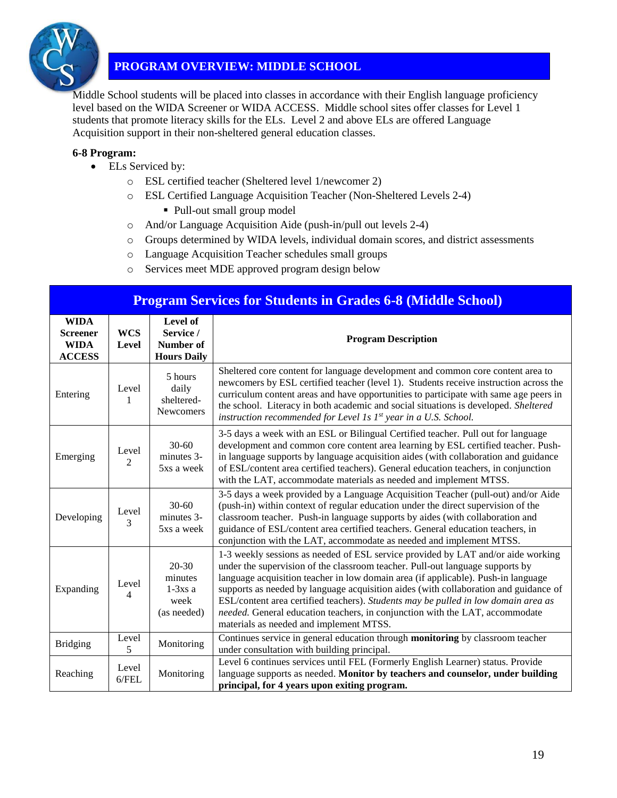

### **PROGRAM OVERVIEW: MIDDLE SCHOOL**

Middle School students will be placed into classes in accordance with their English language proficiency level based on the WIDA Screener or WIDA ACCESS. Middle school sites offer classes for Level 1 students that promote literacy skills for the ELs. Level 2 and above ELs are offered Language Acquisition support in their non-sheltered general education classes.

#### **6-8 Program:**

- ELs Serviced by:
	- o ESL certified teacher (Sheltered level 1/newcomer 2)
	- o ESL Certified Language Acquisition Teacher (Non-Sheltered Levels 2-4)
		- Pull-out small group model
	- o And/or Language Acquisition Aide (push-in/pull out levels 2-4)
	- o Groups determined by WIDA levels, individual domain scores, and district assessments
	- o Language Acquisition Teacher schedules small groups
	- o Services meet MDE approved program design below

| <b>Program Services for Students in Grades 6-8 (Middle School)</b> |                         |                                                          |                                                                                                                                                                                                                                                                                                                                                                                                                                                                                                                                                                 |  |
|--------------------------------------------------------------------|-------------------------|----------------------------------------------------------|-----------------------------------------------------------------------------------------------------------------------------------------------------------------------------------------------------------------------------------------------------------------------------------------------------------------------------------------------------------------------------------------------------------------------------------------------------------------------------------------------------------------------------------------------------------------|--|
| <b>WIDA</b><br><b>Screener</b><br><b>WIDA</b><br><b>ACCESS</b>     | <b>WCS</b><br>Level     | Level of<br>Service /<br>Number of<br><b>Hours Daily</b> | <b>Program Description</b>                                                                                                                                                                                                                                                                                                                                                                                                                                                                                                                                      |  |
| Entering                                                           | Level<br>1              | 5 hours<br>daily<br>sheltered-<br>Newcomers              | Sheltered core content for language development and common core content area to<br>newcomers by ESL certified teacher (level 1). Students receive instruction across the<br>curriculum content areas and have opportunities to participate with same age peers in<br>the school. Literacy in both academic and social situations is developed. Sheltered<br>instruction recommended for Level 1s 1st year in a U.S. School.                                                                                                                                     |  |
| Emerging                                                           | Level<br>$\overline{c}$ | $30 - 60$<br>minutes 3-<br>5xs a week                    | 3-5 days a week with an ESL or Bilingual Certified teacher. Pull out for language<br>development and common core content area learning by ESL certified teacher. Push-<br>in language supports by language acquisition aides (with collaboration and guidance<br>of ESL/content area certified teachers). General education teachers, in conjunction<br>with the LAT, accommodate materials as needed and implement MTSS.                                                                                                                                       |  |
| Developing                                                         | Level<br>3              | $30 - 60$<br>minutes 3-<br>5xs a week                    | 3-5 days a week provided by a Language Acquisition Teacher (pull-out) and/or Aide<br>(push-in) within context of regular education under the direct supervision of the<br>classroom teacher. Push-in language supports by aides (with collaboration and<br>guidance of ESL/content area certified teachers. General education teachers, in<br>conjunction with the LAT, accommodate as needed and implement MTSS.                                                                                                                                               |  |
| Expanding                                                          | Level<br>4              | $20 - 30$<br>minutes<br>$1-3xs$ a<br>week<br>(as needed) | 1-3 weekly sessions as needed of ESL service provided by LAT and/or aide working<br>under the supervision of the classroom teacher. Pull-out language supports by<br>language acquisition teacher in low domain area (if applicable). Push-in language<br>supports as needed by language acquisition aides (with collaboration and guidance of<br>ESL/content area certified teachers). Students may be pulled in low domain area as<br>needed. General education teachers, in conjunction with the LAT, accommodate<br>materials as needed and implement MTSS. |  |
| <b>Bridging</b>                                                    | Level<br>5              | Monitoring                                               | Continues service in general education through monitoring by classroom teacher<br>under consultation with building principal.                                                                                                                                                                                                                                                                                                                                                                                                                                   |  |
| Reaching                                                           | Level<br>6/FEL          | Monitoring                                               | Level 6 continues services until FEL (Formerly English Learner) status. Provide<br>language supports as needed. Monitor by teachers and counselor, under building<br>principal, for 4 years upon exiting program.                                                                                                                                                                                                                                                                                                                                               |  |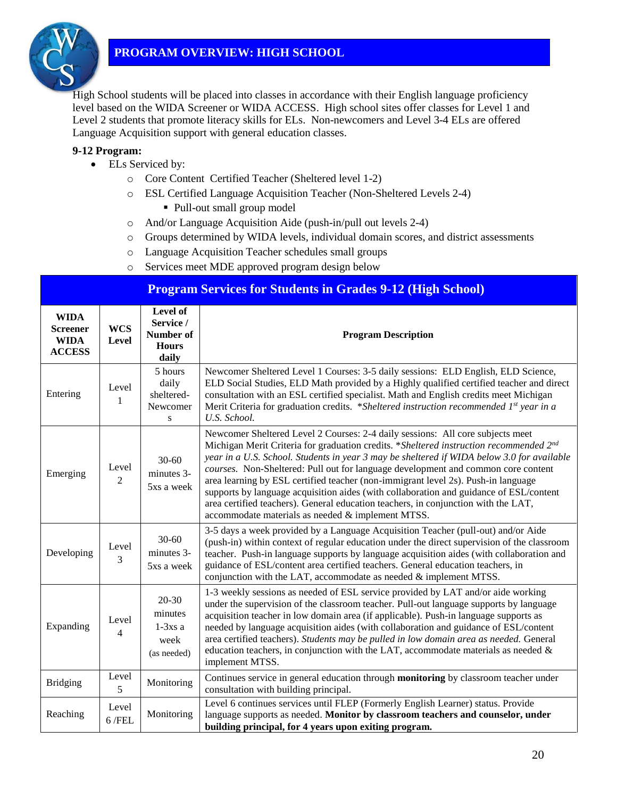

### **PROGRAM OVERVIEW: HIGH SCHOOL**

High School students will be placed into classes in accordance with their English language proficiency level based on the WIDA Screener or WIDA ACCESS. High school sites offer classes for Level 1 and Level 2 students that promote literacy skills for ELs. Non-newcomers and Level 3-4 ELs are offered Language Acquisition support with general education classes.

#### **9-12 Program:**

- ELs Serviced by:
	- o Core Content Certified Teacher (Sheltered level 1-2)
	- o ESL Certified Language Acquisition Teacher (Non-Sheltered Levels 2-4)
		- Pull-out small group model
	- o And/or Language Acquisition Aide (push-in/pull out levels 2-4)
	- o Groups determined by WIDA levels, individual domain scores, and district assessments
	- o Language Acquisition Teacher schedules small groups
	- o Services meet MDE approved program design below

|                                                                | <b>Program Services for Students in Grades 9-12 (High School)</b> |                                                             |                                                                                                                                                                                                                                                                                                                                                                                                                                                                                                                                                                                                                                                                                       |  |  |
|----------------------------------------------------------------|-------------------------------------------------------------------|-------------------------------------------------------------|---------------------------------------------------------------------------------------------------------------------------------------------------------------------------------------------------------------------------------------------------------------------------------------------------------------------------------------------------------------------------------------------------------------------------------------------------------------------------------------------------------------------------------------------------------------------------------------------------------------------------------------------------------------------------------------|--|--|
| <b>WIDA</b><br><b>Screener</b><br><b>WIDA</b><br><b>ACCESS</b> | <b>WCS</b><br><b>Level</b>                                        | Level of<br>Service /<br>Number of<br><b>Hours</b><br>daily | <b>Program Description</b>                                                                                                                                                                                                                                                                                                                                                                                                                                                                                                                                                                                                                                                            |  |  |
| Entering                                                       | Level<br>1                                                        | 5 hours<br>daily<br>sheltered-<br>Newcomer<br>S             | Newcomer Sheltered Level 1 Courses: 3-5 daily sessions: ELD English, ELD Science,<br>ELD Social Studies, ELD Math provided by a Highly qualified certified teacher and direct<br>consultation with an ESL certified specialist. Math and English credits meet Michigan<br>Merit Criteria for graduation credits. *Sheltered instruction recommended 1st year in a<br>U.S. School.                                                                                                                                                                                                                                                                                                     |  |  |
| Emerging                                                       | Level<br>$\overline{2}$                                           | $30 - 60$<br>minutes 3-<br>5xs a week                       | Newcomer Sheltered Level 2 Courses: 2-4 daily sessions: All core subjects meet<br>Michigan Merit Criteria for graduation credits. *Sheltered instruction recommended 2nd<br>year in a U.S. School. Students in year 3 may be sheltered if WIDA below 3.0 for available<br>courses. Non-Sheltered: Pull out for language development and common core content<br>area learning by ESL certified teacher (non-immigrant level 2s). Push-in language<br>supports by language acquisition aides (with collaboration and guidance of ESL/content<br>area certified teachers). General education teachers, in conjunction with the LAT,<br>accommodate materials as needed & implement MTSS. |  |  |
| Developing                                                     | Level<br>3                                                        | $30 - 60$<br>minutes 3-<br>5xs a week                       | 3-5 days a week provided by a Language Acquisition Teacher (pull-out) and/or Aide<br>(push-in) within context of regular education under the direct supervision of the classroom<br>teacher. Push-in language supports by language acquisition aides (with collaboration and<br>guidance of ESL/content area certified teachers. General education teachers, in<br>conjunction with the LAT, accommodate as needed $\&$ implement MTSS.                                                                                                                                                                                                                                               |  |  |
| Expanding                                                      | Level<br>4                                                        | $20 - 30$<br>minutes<br>$1-3xs$ a<br>week<br>(as needed)    | 1-3 weekly sessions as needed of ESL service provided by LAT and/or aide working<br>under the supervision of the classroom teacher. Pull-out language supports by language<br>acquisition teacher in low domain area (if applicable). Push-in language supports as<br>needed by language acquisition aides (with collaboration and guidance of ESL/content<br>area certified teachers). Students may be pulled in low domain area as needed. General<br>education teachers, in conjunction with the LAT, accommodate materials as needed $\&$<br>implement MTSS.                                                                                                                      |  |  |
| <b>Bridging</b>                                                | Level<br>5                                                        | Monitoring                                                  | Continues service in general education through <b>monitoring</b> by classroom teacher under<br>consultation with building principal.                                                                                                                                                                                                                                                                                                                                                                                                                                                                                                                                                  |  |  |
| Reaching                                                       | Level<br>$6$ /FEL                                                 | Monitoring                                                  | Level 6 continues services until FLEP (Formerly English Learner) status. Provide<br>language supports as needed. Monitor by classroom teachers and counselor, under<br>building principal, for 4 years upon exiting program.                                                                                                                                                                                                                                                                                                                                                                                                                                                          |  |  |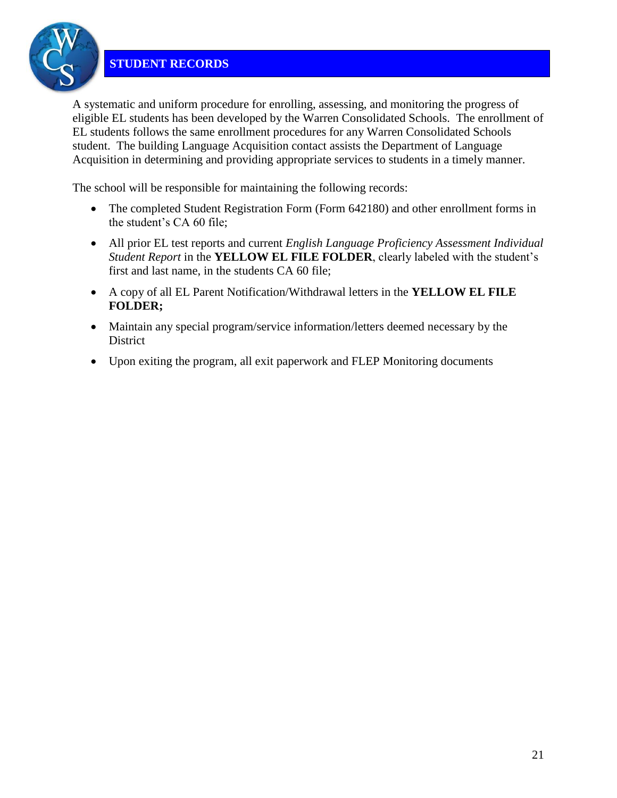

A systematic and uniform procedure for enrolling, assessing, and monitoring the progress of eligible EL students has been developed by the Warren Consolidated Schools. The enrollment of EL students follows the same enrollment procedures for any Warren Consolidated Schools student. The building Language Acquisition contact assists the Department of Language Acquisition in determining and providing appropriate services to students in a timely manner.

The school will be responsible for maintaining the following records:

- The completed Student Registration Form (Form 642180) and other enrollment forms in the student's CA 60 file;
- All prior EL test reports and current *English Language Proficiency Assessment Individual Student Report* in the **YELLOW EL FILE FOLDER**, clearly labeled with the student's first and last name, in the students CA 60 file;
- A copy of all EL Parent Notification/Withdrawal letters in the **YELLOW EL FILE FOLDER;**
- Maintain any special program/service information/letters deemed necessary by the **District**
- Upon exiting the program, all exit paperwork and FLEP Monitoring documents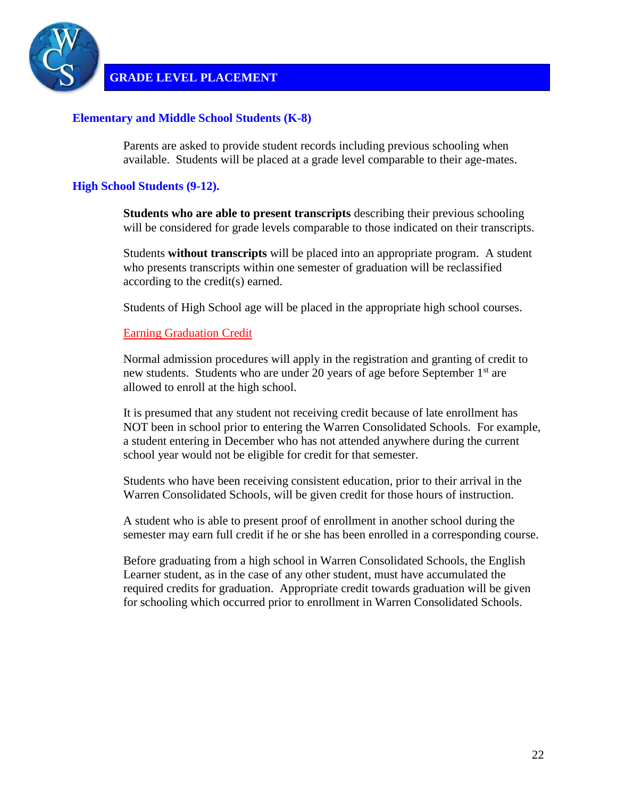

**GRADE LEVEL PLACEMENT**

#### **Elementary and Middle School Students (K-8)**

Parents are asked to provide student records including previous schooling when available. Students will be placed at a grade level comparable to their age-mates.

### **High School Students (9-12).**

**Students who are able to present transcripts** describing their previous schooling will be considered for grade levels comparable to those indicated on their transcripts.

Students **without transcripts** will be placed into an appropriate program. A student who presents transcripts within one semester of graduation will be reclassified according to the credit(s) earned.

Students of High School age will be placed in the appropriate high school courses.

#### Earning Graduation Credit

Normal admission procedures will apply in the registration and granting of credit to new students. Students who are under 20 years of age before September 1<sup>st</sup> are allowed to enroll at the high school.

It is presumed that any student not receiving credit because of late enrollment has NOT been in school prior to entering the Warren Consolidated Schools. For example, a student entering in December who has not attended anywhere during the current school year would not be eligible for credit for that semester.

Students who have been receiving consistent education, prior to their arrival in the Warren Consolidated Schools, will be given credit for those hours of instruction.

A student who is able to present proof of enrollment in another school during the semester may earn full credit if he or she has been enrolled in a corresponding course.

Before graduating from a high school in Warren Consolidated Schools, the English Learner student, as in the case of any other student, must have accumulated the required credits for graduation. Appropriate credit towards graduation will be given for schooling which occurred prior to enrollment in Warren Consolidated Schools.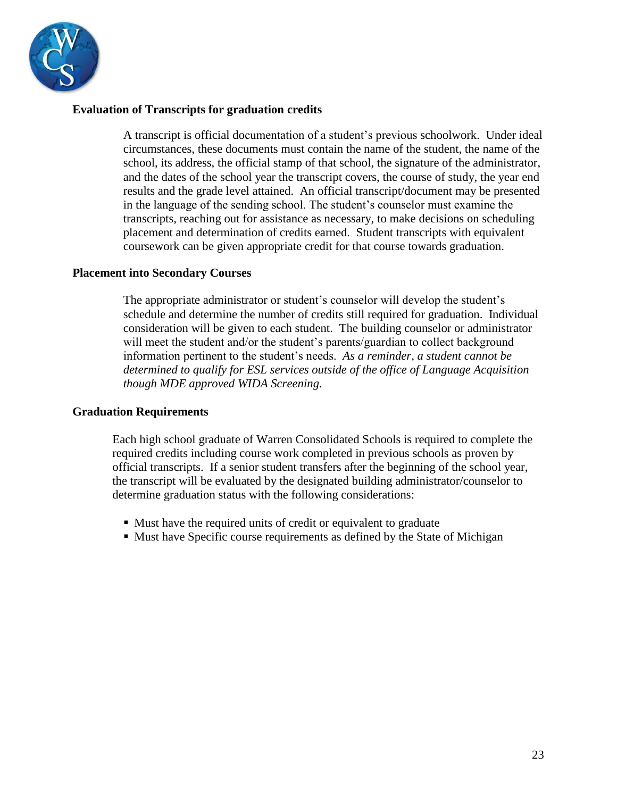

#### **Evaluation of Transcripts for graduation credits**

A transcript is official documentation of a student's previous schoolwork. Under ideal circumstances, these documents must contain the name of the student, the name of the school, its address, the official stamp of that school, the signature of the administrator, and the dates of the school year the transcript covers, the course of study, the year end results and the grade level attained. An official transcript/document may be presented in the language of the sending school. The student's counselor must examine the transcripts, reaching out for assistance as necessary, to make decisions on scheduling placement and determination of credits earned. Student transcripts with equivalent coursework can be given appropriate credit for that course towards graduation.

#### **Placement into Secondary Courses**

The appropriate administrator or student's counselor will develop the student's schedule and determine the number of credits still required for graduation. Individual consideration will be given to each student. The building counselor or administrator will meet the student and/or the student's parents/guardian to collect background information pertinent to the student's needs. *As a reminder, a student cannot be determined to qualify for ESL services outside of the office of Language Acquisition though MDE approved WIDA Screening.* 

### **Graduation Requirements**

Each high school graduate of Warren Consolidated Schools is required to complete the required credits including course work completed in previous schools as proven by official transcripts. If a senior student transfers after the beginning of the school year, the transcript will be evaluated by the designated building administrator/counselor to determine graduation status with the following considerations:

- Must have the required units of credit or equivalent to graduate
- Must have Specific course requirements as defined by the State of Michigan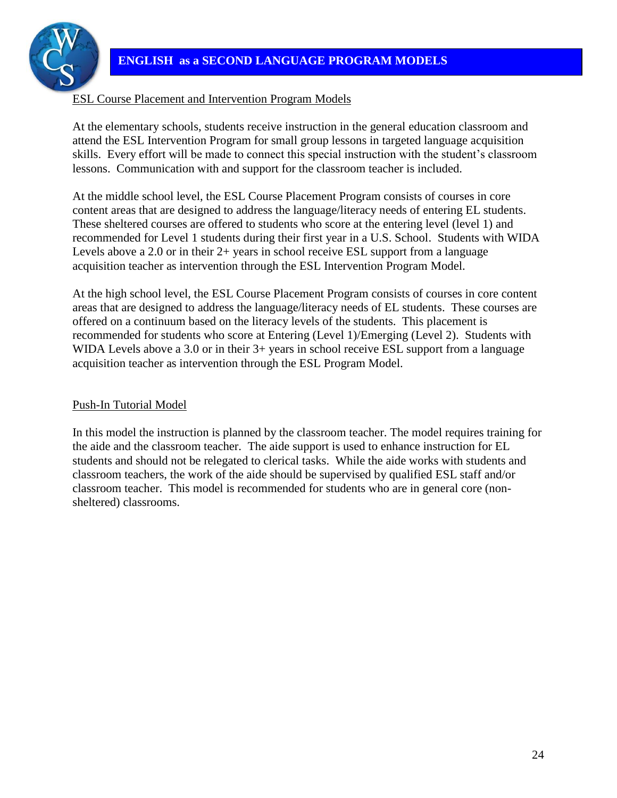### **ENGLISH as a SECOND LANGUAGE PROGRAM MODELS**



### ESL Course Placement and Intervention Program Models

At the elementary schools, students receive instruction in the general education classroom and attend the ESL Intervention Program for small group lessons in targeted language acquisition skills. Every effort will be made to connect this special instruction with the student's classroom lessons. Communication with and support for the classroom teacher is included.

At the middle school level, the ESL Course Placement Program consists of courses in core content areas that are designed to address the language/literacy needs of entering EL students. These sheltered courses are offered to students who score at the entering level (level 1) and recommended for Level 1 students during their first year in a U.S. School. Students with WIDA Levels above a 2.0 or in their 2+ years in school receive ESL support from a language acquisition teacher as intervention through the ESL Intervention Program Model.

At the high school level, the ESL Course Placement Program consists of courses in core content areas that are designed to address the language/literacy needs of EL students. These courses are offered on a continuum based on the literacy levels of the students. This placement is recommended for students who score at Entering (Level 1)/Emerging (Level 2). Students with WIDA Levels above a 3.0 or in their  $3+$  years in school receive ESL support from a language acquisition teacher as intervention through the ESL Program Model.

### Push-In Tutorial Model

In this model the instruction is planned by the classroom teacher. The model requires training for the aide and the classroom teacher. The aide support is used to enhance instruction for EL students and should not be relegated to clerical tasks. While the aide works with students and classroom teachers, the work of the aide should be supervised by qualified ESL staff and/or classroom teacher. This model is recommended for students who are in general core (nonsheltered) classrooms.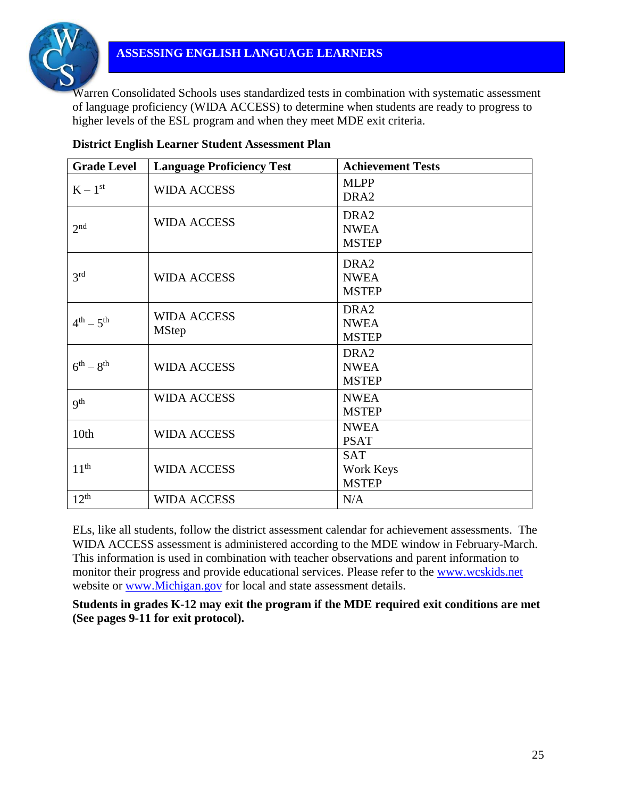

Warren Consolidated Schools uses standardized tests in combination with systematic assessment of language proficiency (WIDA ACCESS) to determine when students are ready to progress to higher levels of the ESL program and when they meet MDE exit criteria.

| <b>Grade Level</b> | <b>Language Proficiency Test</b> | <b>Achievement Tests</b> |
|--------------------|----------------------------------|--------------------------|
|                    |                                  | <b>MLPP</b>              |
| $K-1^{st}$         | <b>WIDA ACCESS</b>               | DRA <sub>2</sub>         |
|                    | <b>WIDA ACCESS</b>               | DRA <sub>2</sub>         |
| 2 <sup>nd</sup>    |                                  | <b>NWEA</b>              |
|                    |                                  | <b>MSTEP</b>             |
|                    |                                  | DRA <sub>2</sub>         |
| 3 <sup>rd</sup>    | <b>WIDA ACCESS</b>               | <b>NWEA</b>              |
|                    |                                  | <b>MSTEP</b>             |
|                    | <b>WIDA ACCESS</b>               | DRA <sub>2</sub>         |
| $4^{th} - 5^{th}$  | <b>MStep</b>                     | <b>NWEA</b>              |
|                    |                                  | <b>MSTEP</b>             |
|                    |                                  | DRA <sub>2</sub>         |
| $6^{th} - 8^{th}$  | <b>WIDA ACCESS</b>               | <b>NWEA</b>              |
|                    |                                  | <b>MSTEP</b>             |
| q <sup>th</sup>    | <b>WIDA ACCESS</b>               | <b>NWEA</b>              |
|                    |                                  | <b>MSTEP</b>             |
| 10th               | <b>WIDA ACCESS</b>               | <b>NWEA</b>              |
|                    |                                  | <b>PSAT</b>              |
|                    |                                  | <b>SAT</b>               |
| 11 <sup>th</sup>   | <b>WIDA ACCESS</b>               | Work Keys                |
|                    |                                  | <b>MSTEP</b>             |
| $12^{th}$          | <b>WIDA ACCESS</b>               | N/A                      |

### **District English Learner Student Assessment Plan**

ELs, like all students, follow the district assessment calendar for achievement assessments. The WIDA ACCESS assessment is administered according to the MDE window in February-March. This information is used in combination with teacher observations and parent information to monitor their progress and provide educational services. Please refer to the [www.wcskids.net](http://www.wcskids.net/) website or [www.Michigan.gov](http://www.michigan.gov/) for local and state assessment details.

**Students in grades K-12 may exit the program if the MDE required exit conditions are met (See pages 9-11 for exit protocol).**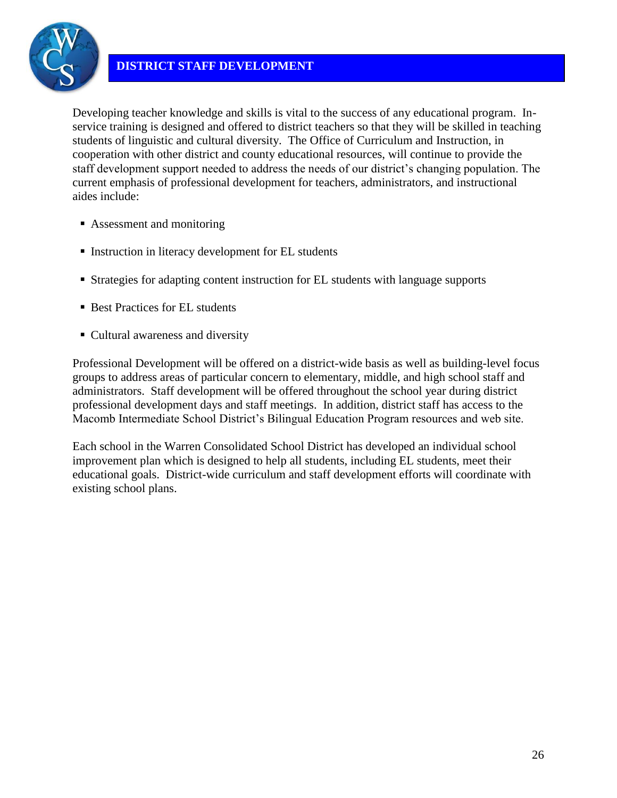

Developing teacher knowledge and skills is vital to the success of any educational program. Inservice training is designed and offered to district teachers so that they will be skilled in teaching students of linguistic and cultural diversity. The Office of Curriculum and Instruction, in cooperation with other district and county educational resources, will continue to provide the staff development support needed to address the needs of our district's changing population. The current emphasis of professional development for teachers, administrators, and instructional aides include:

- Assessment and monitoring
- Instruction in literacy development for EL students
- Strategies for adapting content instruction for EL students with language supports
- Best Practices for EL students
- Cultural awareness and diversity

Professional Development will be offered on a district-wide basis as well as building-level focus groups to address areas of particular concern to elementary, middle, and high school staff and administrators. Staff development will be offered throughout the school year during district professional development days and staff meetings. In addition, district staff has access to the Macomb Intermediate School District's Bilingual Education Program resources and web site.

Each school in the Warren Consolidated School District has developed an individual school improvement plan which is designed to help all students, including EL students, meet their educational goals. District-wide curriculum and staff development efforts will coordinate with existing school plans.